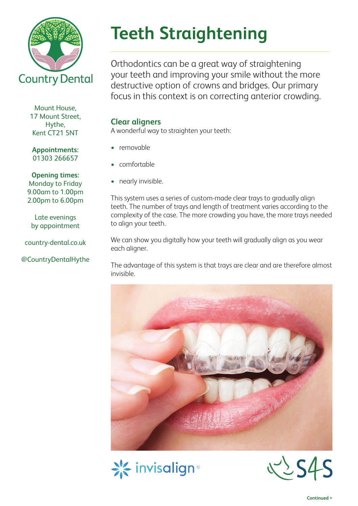

**Teeth Straightening**

Orthodontics can be a great way of straightening your teeth and improving your smile without the more destructive option of crowns and bridges. Our primary focus in this context is on correcting anterior crowding.

### **Clear aligners**

A wonderful way to straighten your teeth:

- removable
- • comfortable
- nearly invisible.

This system uses a series of custom-made clear trays to gradually align teeth. The number of trays and length of treatment varies according to the complexity of the case. The more crowding you have, the more trays needed to align your teeth.

We can show you digitally how your teeth will gradually align as you wear each aligner.

The advantage of this system is that trays are clear and are therefore almost invisible.







Mount House, 17 Mount Street, Hythe, Kent CT21 5NT

**Appointments:**  01303 266657

#### **Opening times:**

Monday to Friday 9.00am to 1.00pm 2.00pm to 6.00pm

Late evenings by appointment

country-dental.co.uk

## @CountryDentalHythe